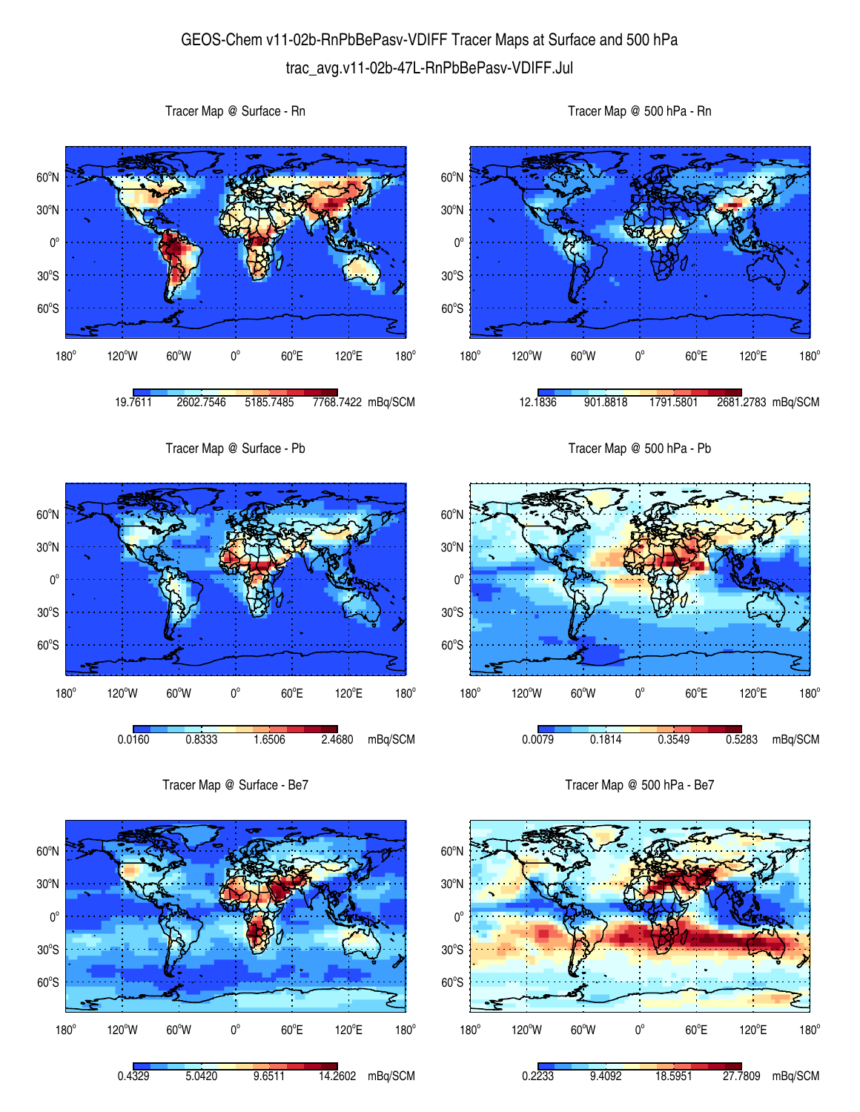## GEOS-Chem v11-02b-RnPbBePasv-VDIFF Tracer Maps at Surface and 500 hPa trac\_avg.v11-02b-47L-RnPbBePasv-VDIFF.Jul

 $60^{\circ}$ S  $30^{\circ}$ S  $0^{\circ}$ 30<sup>°</sup>N 60<sup>o</sup>N 180° 120°W 60°W 0°  $60^{\circ}$ E 120°E  $180^\circ$ 19.7611 2602.7546 5185.7485 7768.7422 mBq/SCM  $60^{\circ}$ S  $30^{\circ}$ S  $0^{\circ}$ 30<sup>°</sup>N 60<sup>o</sup>N  $180^\circ$ 120°W 60°W 0°  $60^{\circ}$ E 120°E 12.1836 901.8818 1791.5801 2681.2783 mBq/SCM Tracer Map @ Surface - Pb  $0^{\circ}$ 30<sup>°</sup>N 60<sup>o</sup>N Tracer Map @ 500 hPa - Pb  $30^{\circ}$ S  $0^{\circ}$ 30<sup>°</sup>N 60<sup>o</sup>N

60°S

180°



Tracer Map @ Surface - Rn

Tracer Map @ Surface - Be7





 $60^{\circ}$ E

0.0079 0.1814 0.3549 0.5283 mBq/SCM

120°E

 $180^\circ$ 

 $120^{\circ}$ W 60 $^{\circ}$ W 0 $^{\circ}$ 

Tracer Map @ 500 hPa - Rn

 $180^\circ$